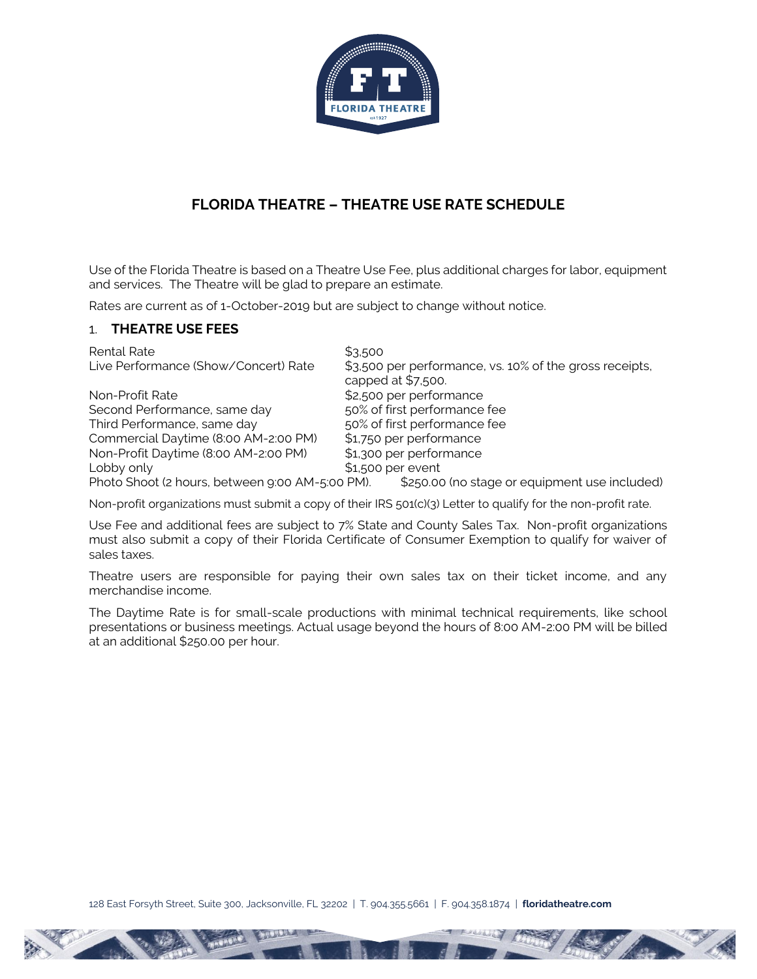

# **FLORIDA THEATRE – THEATRE USE RATE SCHEDULE**

Use of the Florida Theatre is based on a Theatre Use Fee, plus additional charges for labor, equipment and services. The Theatre will be glad to prepare an estimate.

Rates are current as of 1-October-2019 but are subject to change without notice.

### 1. **THEATRE USE FEES**

| Rental Rate                                     | \$3,500                                                                       |
|-------------------------------------------------|-------------------------------------------------------------------------------|
| Live Performance (Show/Concert) Rate            | \$3,500 per performance, vs. 10% of the gross receipts,<br>capped at \$7,500. |
| Non-Profit Rate                                 | \$2,500 per performance                                                       |
| Second Performance, same day                    | 50% of first performance fee                                                  |
| Third Performance, same day                     | 50% of first performance fee                                                  |
| Commercial Daytime (8:00 AM-2:00 PM)            | \$1,750 per performance                                                       |
| Non-Profit Daytime (8:00 AM-2:00 PM)            | \$1,300 per performance                                                       |
| Lobby only                                      | $$1,500$ per event                                                            |
| Photo Shoot (2 hours, between 9:00 AM-5:00 PM). | \$250.00 (no stage or equipment use included)                                 |

Non-profit organizations must submit a copy of their IRS 501(c)(3) Letter to qualify for the non-profit rate.

Use Fee and additional fees are subject to 7% State and County Sales Tax. Non-profit organizations must also submit a copy of their Florida Certificate of Consumer Exemption to qualify for waiver of sales taxes.

Theatre users are responsible for paying their own sales tax on their ticket income, and any merchandise income.

The Daytime Rate is for small-scale productions with minimal technical requirements, like school presentations or business meetings. Actual usage beyond the hours of 8:00 AM-2:00 PM will be billed at an additional \$250.00 per hour.

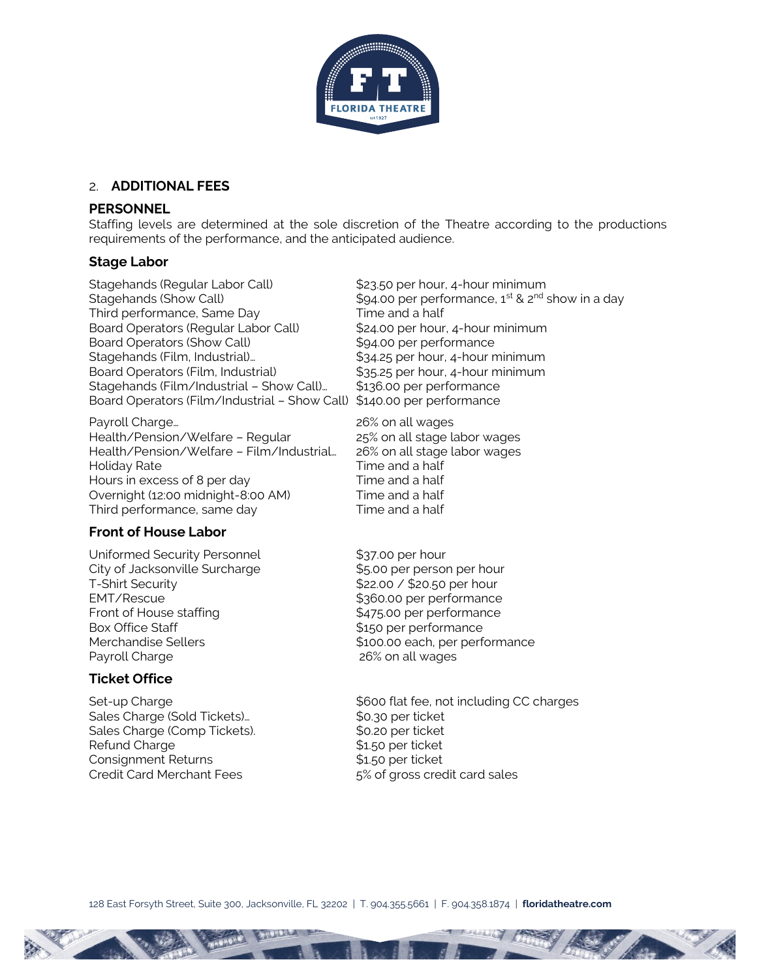

### 2. **ADDITIONAL FEES**

### **PERSONNEL**

Staffing levels are determined at the sole discretion of the Theatre according to the productions requirements of the performance, and the anticipated audience.

#### **Stage Labor**

Stagehands (Regular Labor Call)  $$23.50$  per hour, 4-hour minimum Third performance, Same Day Time and a half Board Operators (Regular Labor Call) \$24.00 per hour, 4-hour minimum Board Operators (Show Call)  $$94.00$  per performance Stagehands (Film, Industrial)… \$34.25 per hour, 4-hour minimum Board Operators (Film, Industrial) \$35.25 per hour, 4-hour minimum Stagehands (Film/Industrial - Show Call)... \$136.00 per performance Board Operators (Film/Industrial – Show Call) \$140.00 per performance

Payroll Charge... The contract of the 26% on all wages Health/Pension/Welfare – Regular 25% on all stage labor wages Health/Pension/Welfare – Film/Industrial… 26% on all stage labor wages Holiday Rate Time and a half Hours in excess of 8 per day Time and a half Overnight (12:00 midnight-8:00 AM) Time and a half Third performance, same day Time and a half

### **Front of House Labor**

Uniformed Security Personnel \$37.00 per hour City of Jacksonville Surcharge  $$5.00$  per person per hour T-Shirt Security **\$22.00** / \$20.50 per hour EMT/Rescue  $$360.00$  per performance Front of House staffing  $$475.00$  per performance Box Office Staff  $$150$  per performance Payroll Charge 26% on all wages

## **Ticket Office**

Sales Charge (Sold Tickets)... \$0.30 per ticket Sales Charge (Comp Tickets).  $$0.20$  per ticket Refund Charge  $$1.50$  per ticket Consignment Returns \$1.50 per ticket Credit Card Merchant Fees 5% of gross credit card sales

Stagehands (Show Call)  $$94.00$  per performance, 1<sup>st</sup> & 2<sup>nd</sup> show in a day

Merchandise Sellers  $$100.00$  each, per performance

Set-up Charge  $\sim$  \$600 flat fee, not including CC charges

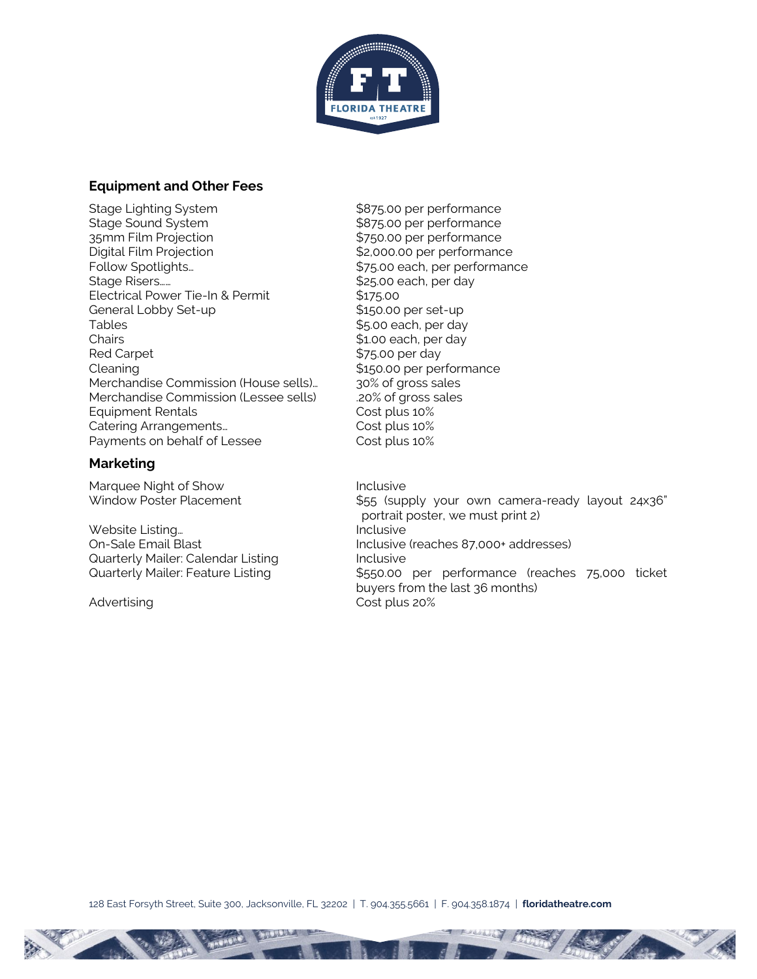

### **Equipment and Other Fees**

Stage Lighting System  $$875.00$  per performance Stage Sound System  $$875.00$  per performance 35mm Film Projection **by Exercise 1250.00 per performance** Digital Film Projection  $$2,000.00$  per performance Follow Spotlights... The state of the state of the state of the spotlights spotlights. Stage Risers…… \$25.00 each, per day Electrical Power Tie-In & Permit \$175.00 General Lobby Set-up  $$150.00$  per set-up Tables  $$5.00$  each, per day Chairs **Chairs Chairs Chairs Chairs Chairs Chairs Chairs Chairs Chairs Chairs Chairs Chairs Chairs Chairs Chairs Chairs Chairs Chairs Chairs Chairs Chairs Chairs Chairs Chairs** Red Carpet **1988 \$75.00 per day** Cleaning  $$150.00$  per performance Merchandise Commission (House sells)... 30% of gross sales Merchandise Commission (Lessee sells) .20% of gross sales Equipment Rentals Cost plus 10% Catering Arrangements... Cost plus 10% Payments on behalf of Lessee Cost plus 10%

### **Marketing**

Marquee Night of Show Inclusive

Website Listing... The Contract of the Unclusive Quarterly Mailer: Calendar Listing<br>
Quarterly Mailer: Feature Listing<br>
\$550.00

Window Poster Placement **\$55 (supply your own camera-ready layout 24x36**" portrait poster, we must print 2) On-Sale Email Blast Inclusive (reaches 87,000+ addresses) \$550.00 per performance (reaches 75,000 ticket buyers from the last 36 months) Advertising Cost plus 20%